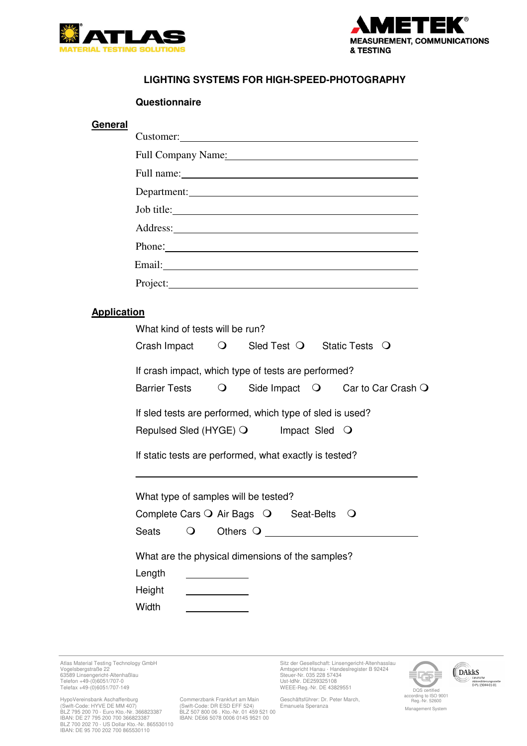



## **LIGHTING SYSTEMS FOR HIGH-SPEED-PHOTOGRAPHY**

## **Questionnaire**

|                    | Customer:                                                           |
|--------------------|---------------------------------------------------------------------|
|                    | Full Company Name: Manual Company Name:                             |
|                    |                                                                     |
|                    | Department:                                                         |
|                    | Job title:                                                          |
|                    |                                                                     |
|                    | Phone:                                                              |
|                    |                                                                     |
|                    | Project:                                                            |
|                    |                                                                     |
| <b>Application</b> | What kind of tests will be run?                                     |
|                    |                                                                     |
|                    | Crash Impact Q Sled Test Q Static Tests Q                           |
|                    | If crash impact, which type of tests are performed?                 |
|                    | Side Impact Q Car to Car Crash Q<br><b>Barrier Tests</b><br>$\circ$ |
|                    | If sled tests are performed, which type of sled is used?            |
|                    | Repulsed Sled (HYGE) O lmpact Sled O                                |
|                    |                                                                     |
|                    | If static tests are performed, what exactly is tested?              |
|                    |                                                                     |
|                    | What type of samples will be tested?                                |
|                    | Complete Cars $\bigcirc$ Air Bags $\bigcirc$ Seat-Belts<br>$\cup$   |
|                    | Seats<br>O<br>Others $\bigcirc$                                     |
|                    | What are the physical dimensions of the samples?                    |
|                    | Length                                                              |
|                    | Height                                                              |
|                    | Width                                                               |

63589 Linsengericht-Altenhaßlau<br>Telefon +49-(0)6051/707-0<br>Telefax +49-(0)6051/707-149 UVEEE-Reg.-Nr. DE 43829551

HypoVereinsbank Aschaffenburg (Commerzbank Frankfurt am Main Geschäftsführer: Dr. Peter March, (Swift-Code: HYVE DE MAIN) (Suift-Code: DR ESD EFF 524) Emanuela Speranza<br>(Swift-Code: HYVE DE MM 407) (Suift-Code: DR ESD EFF

Commerzbank Frankfurt am Main<br>(Swift-Code: DR ESD EFF 524)<br>BLZ 507 800 06 . Kto.-Nr. 01 459 521 00<br>IBAN: DE66 5078 0006 0145 9521 00

Atlas Material Testing Technology GmbH<br>Sitz der Gesellschaft: Linsengericht-Altenhasslau auch Handeslregister B 92424<br>Vogelsbergstraße 22



Management System

(DAkkS Deutsche<br>Akkreditierungsstelle<br>D-PL-15044-01-01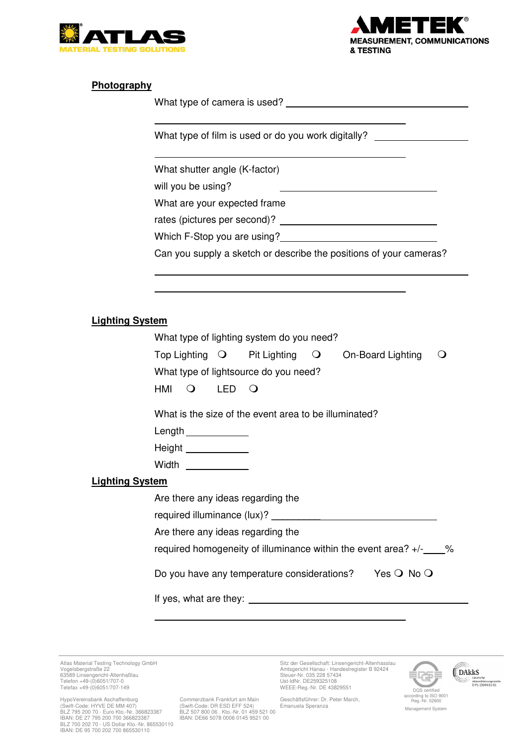



## **Photography**

 $\overline{\phantom{a}}$ 

 $\overline{\phantom{a}}$ 

 $\overline{a}$  $\overline{\phantom{a}}$ 

What type of camera is used?

What type of film is used or do you work digitally?

What shutter angle (K-factor)

will you be using?

What are your expected frame

rates (pictures per second)?

Which F-Stop you are using?

Can you supply a sketch or describe the positions of your cameras?

## **Lighting System**

|                        | What type of lighting system do you need?                                                                                                   |  |             |                                                                |  |                   |          |
|------------------------|---------------------------------------------------------------------------------------------------------------------------------------------|--|-------------|----------------------------------------------------------------|--|-------------------|----------|
|                        |                                                                                                                                             |  |             | $\mathsf{Top}$ Lighting $\mathsf{O}$ Pit Lighting $\mathsf{O}$ |  | On-Board Lighting | $\Omega$ |
|                        | What type of lightsource do you need?                                                                                                       |  |             |                                                                |  |                   |          |
|                        | HMI                                                                                                                                         |  | $O$ LED $O$ |                                                                |  |                   |          |
|                        | What is the size of the event area to be illuminated?                                                                                       |  |             |                                                                |  |                   |          |
|                        |                                                                                                                                             |  |             |                                                                |  |                   |          |
|                        | Height ____________                                                                                                                         |  |             |                                                                |  |                   |          |
|                        | Width $\frac{1}{\sqrt{1-\frac{1}{2}}\cdot\frac{1}{\sqrt{1-\frac{1}{2}}\cdot\frac{1}{2}}\cdot\frac{1}{\sqrt{1-\frac{1}{2}}\cdot\frac{1}{2}}$ |  |             |                                                                |  |                   |          |
| <b>Lighting System</b> |                                                                                                                                             |  |             |                                                                |  |                   |          |
|                        | Are there any ideas regarding the                                                                                                           |  |             |                                                                |  |                   |          |
|                        |                                                                                                                                             |  |             |                                                                |  |                   |          |
|                        | Are there any ideas regarding the                                                                                                           |  |             |                                                                |  |                   |          |
|                        | required homogeneity of illuminance within the event area? $+/ -$ %                                                                         |  |             |                                                                |  |                   |          |
|                        | Do you have any temperature considerations? Yes $\bigcirc$ No $\bigcirc$                                                                    |  |             |                                                                |  |                   |          |
|                        |                                                                                                                                             |  |             |                                                                |  |                   |          |
|                        |                                                                                                                                             |  |             |                                                                |  |                   |          |

63589 Linsengericht-Altenhaßlau<br>Telefon +49-(0)6051/707-0<br>Telefax +49-(0)6051/707-149 UVEEE-Reg.-Nr. DE 43829551

HypoVereinsbank Aschaffenburg (Commerzbank Frankfurt am Main Geschäftsführer: Dr. Peter March, (Swift-Code: HYVE DE MAIN) (Suift-Code: DR ESD EFF 524) Emanuela Speranza<br>(Swift-Code: HYVE DE MM 407) (Suift-Code: DR ESD EFF

Commerzbank Frankfurt am Main

Atlas Material Testing Technology GmbH<br>Sitz der Gesellschaft: Linsengericht-Altenhasslau auch Handeslregister B 92424<br>Vogelsbergstraße 22